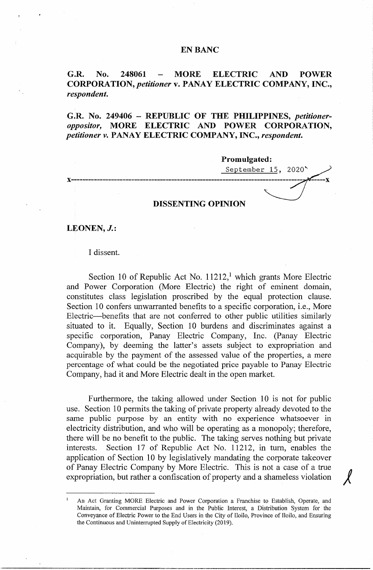## **EN BANC**

G.R. No. 248061 - MORE ELECTRIC AND POWER *CORPORATION,petitioner* **v. PANAY ELECTRIC COMPANY, INC.,**  *respondent.* 

**G.R. No. 249406** - **REPUBLIC OF THE PHILIPPINES,** *petitioneroppositor,* **MORE ELECTRIC AND POWER CORPORATION,**  *petitioner v. PANAY ELECTRIC COMPANY, INC., respondent.* 

**Promulgated:**  September 15, 2020 **x--------------------------------------------------------------------------------- DISSENTING OPINION** 

LEONEN, *J.*:

I dissent.

Section 10 of Republic Act No.  $11212<sup>1</sup>$ , which grants More Electric and Power Corporation (More Electric) the right of eminent domain, constitutes class legislation proscribed by the equal protection clause. Section 10 confers unwarranted benefits to a specific corporation, i.e., More Electric-benefits that are not conferred to other public utilities similarly situated to it. Equally, Section 10 burdens and discriminates against a specific corporation, Panay Electric Company, Inc. (Panay Electric Company), by deeming the latter's assets subject to expropriation and acquirable by the payment of the assessed value of the properties, a mere percentage of what could be the negotiated price payable to Panay Electric Company, had it and More Electric dealt in the open market.

Furthermore, the taking allowed under Section 10 is not for public use. Section 10 permits the taking of private property already devoted to the same public purpose by an entity with no experience whatsoever in electricity distribution, and who will be operating as a monopoly; therefore, there will be no benefit to the public. The taking serves nothing but private interests. Section 17 of Republic Act No. 11212, in tum, enables the application of Section 10 by legislatively mandating the corporate takeover of Panay Electric Company by More Electric. This is not a case of a true expropriation, but rather a confiscation of property and a shameless violation

An Act Granting MORE Electric and Power Corporation a Franchise to Establish, Operate, and Maintain, for Commercial Purposes and in the Public Interest, a Distribution System for the Conveyance of Electric Power to the End Users in the City of Iloilo, Province of Iloilo, and Ensuring the Continuous and Uninterrupted Supply of Electricity (2019).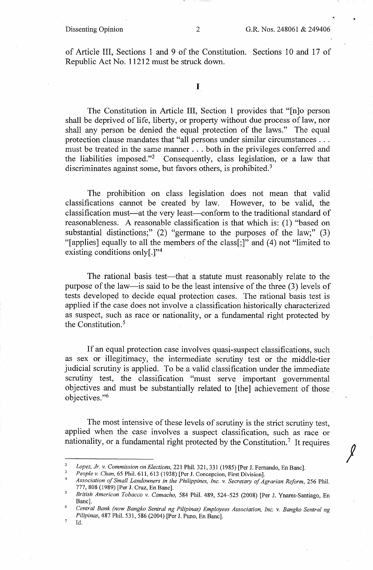*!* 

of Article III, Sections 1 and 9 of the Constitution. Sections 10 and 17 of Republic Act No. 11212 must be struck down.

# I

The Constitution in Article III, Section 1 provides that "[n]o person shall be deprived of life, liberty, or property without due process of law, nor shall any person be denied the equal protection of the laws." The equal protection clause mandates that "all persons under similar circumstances ... must be treated in the same manner ... both in the privileges conferred and the liabilities imposed."<sup>2</sup> Consequently, class legislation, or a law that discriminates against some, but favors others, is prohibited.<sup>3</sup>

The prohibition on class legislation does not mean that valid classifications cannot be created by law. However, to be valid, the classification must-at the very least-conform to the traditional standard of reasonableness. A reasonable classification is that which is: (1) "based on substantial distinctions;" (2) "germane to the purposes of the law;" (3) "[applies] equally to all the members of the class[;]" and (4) not "limited to existing conditions only[.]"<sup>4</sup>

The rational basis test—that a statute must reasonably relate to the purpose of the law-is said to be the least intensive of the three (3) levels of tests developed to decide equal protection cases. The rational basis test is applied if the case does not involve a classification historically characterized as suspect, such as race or nationality, or a fundamental right protected by the Constitution. 5

If an equal protection case involves quasi-suspect classifications, such as sex or illegitimacy, the intermediate scrutiny test or the middle-tier judicial scrutiny is applied. To be a valid classification under the immediate scrutiny test, the classification "must serve important governmental objectives and must be substantially related to [the] achievement of those . objectives."<sup>6</sup>

The most intensive of these levels of scrutiny is the strict scrutiny test, applied when the case involves a suspect classification, such as race or nationality, or a fundamental right protected by the Constitution.<sup>7</sup> It requires

<sup>&</sup>lt;sup>2</sup> Lopez, Jr. v. Commission on Elections, 221 Phil. 321, 331 (1985) [Per J. Fernando, En Banc].<br><sup>3</sup> People v. Chan, 65 Phil. 611, 613 (1938) [Per J. Concepcion, First Division].<br><sup>4</sup> Association of Small Landowners in the

<sup>777, 808 (1989) [</sup>Per J. Cruz, En Banc].

<sup>5</sup>*British American Tobacco v. Camacho,* 584 Phil. 489, 524-525 (2008) [Per J. Ynares-Santiago, En Banc].

<sup>6</sup>*Central Bank (now Bangko Sentral ng Pilipinas) Employees Association, Inc. v. Bangko Sentral ng Pilipinas,* 487 Phil. 531,586 (2004) [Per J. Puno, En Banc]. 7 Id.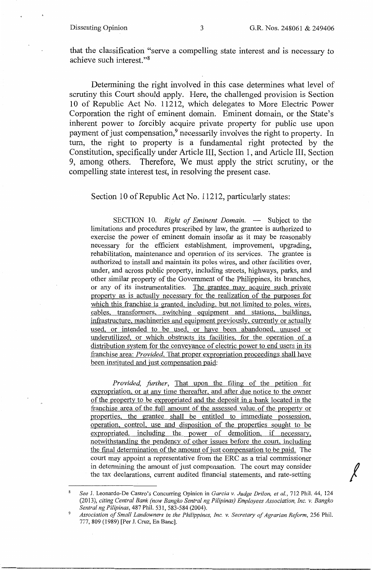*I* 

that the classification "serve a compelling state interest and is necessary to achieve such interest."<sup>8</sup>

Determining the right involved in this case determines what level of scrutiny this Court should apply. Here, the challenged provision is Section 10 of Republic Act No. 11212, which delegates to More Electric Power Corporation the right of eminent domain. Eminent domain, or the State's inherent power to forcibly acquire private property for public use upon payment of just compensation,<sup>9</sup> necessarily involves the right to property. In tum, the right to property is a fundamental right protected by the Constitution, specifically under Article III, Section 1, and Article III, Section 9, among others. Therefore, We must apply the strict scrutiny, or the compelling state interest test, in resolving the present case.

# Section 10 of Republic Act No. 11212, particularly states:

SECTION 10. *Right of Eminent Domain*. — Subject to the limitations and procedures prescribed by law, the grantee is authorized to exercise the power of eminent domain insofar as it may be reasonably necessary for the efficient establishment, improvement, upgrading, rehabilitation, maintenance and operation of its services. The grantee is authorized to install and maintain its poles wires, and other facilities over, under, and across public property, including streets, highways, parks, and other similar property of the Government of the Philippines, its branches, or any of its instrumentalities. The grantee may acquire such private property as is actually necessary for the realization of the purposes for which this franchise is granted, including, but not limited to poles, wires, cables, transformers, switching equipment and stations, buildings, infrastructure, machineries and equipment previously, currently or actually used, or intended to be used, or have been abandoned, unused or underutilized, or which obstructs its facilities, for the operation of a distribution system for the conveyance of electric power to end users in its franchise area: *Provided,* That proper expropriation proceedings shall have been instituted and just compensation paid:

*Provided, further,* That upon the filing of the petition for expropriation, or at any time thereafter, and after due notice to the owner of the property to be expropriated and the deposit in a bank located in the franchise area of the full amount of the assessed value of the property or properties, the grantee shall be entitled to immediate possession, operation, control, use and disposition of the properties sought to be expropriated, including the power of demolition, if necessary, notwithstanding the pendency of other issues before the court, including the final determination of the amount of just compensation to be paid. The court may appoint a representative from the ERC as a trial commissioner in determining the amount of just compensation. The court may consider the tax declarations, current audited financial statements, and rate-setting

*See J. Leonardo-De Castro's Concurring Opinion in <i>Garcia v. Judge Drilon, et al.*, 712 Phil. 44, 124 (2013), *citing Central Bank (now Bangko Sentral ng Pilipinas) Employees Association, Inc. v. Bangko Sentral ng Pilipinas,* 487 Phil. 531, 583-584 (2004).

*Association of Small Landowners in the Philippines, Inc. v. Secretary of Agrarian Reform,* 256 Phil. 777, 809 (1989) [Per J. Cruz, En Banc].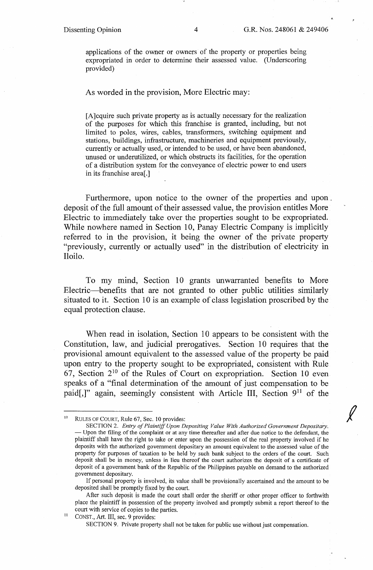*f* 

applications of the owner or owners of the property or properties being expropriated in order to determine their assessed value. (Underscoring provided)

# As worded in the provision, More Electric may:

[A]cquire such private property as is actually necessary for the realization of the purposes for which this franchise is granted, including, but not limited to poles, wires, cables, transformers, switching equipment and stations, buildings, infrastructure, machineries and equipment previously, currently or actually used, or intended to be used, or have been abandoned, unused or underutilized, or which obstructs its facilities, for the operation of a distribution system for the conveyance of electric power to end users in its franchise area[.]

Furthermore, upon notice to the owner of the properties and upon deposit of the full amount of their assessed value, the provision entitles More Electric to immediately take over the properties sought to be expropriated. While nowhere named in Section 10, Panay Electric Company is implicitly referred to in the provision, it being the owner of the private property "previously, currently or actually used" in the distribution of electricity in Iloilo.

To my mind, Section 10 grants unwarranted benefits to More Electric-benefits that are not granted to other public utilities similarly situated to it. Section 10 is an example of class legislation proscribed by the equal protection clause.

When read in isolation, Section 10 appears to be consistent with the Constitution, law, and judicial prerogatives. Section 10 requires that the provisional amount equivalent to the assessed value of the property be paid upon entry to the property sought to be expropriated, consistent with Rule 67, Section  $2^{10}$  of the Rules of Court on expropriation. Section 10 even speaks of a "final determination of the amount of just compensation to be paid[,]" again, seemingly consistent with Article III, Section  $9<sup>11</sup>$  of the

If personal property is involved, its value shall be provisionally ascertained and the amount to be deposited shall be promptly fixed by the court.

SECTION 9. Private property shall not be taken for public use without just compensation.

<sup>&</sup>lt;sup>10</sup> RULES OF COURT, Rule 67, Sec. 10 provides:

SECTION 2. *Entry of Plaintiff Upon Depositing Value With Authorized Government Depositary.*  Upon the filing of the complaint or at any time thereafter and after due notice to the defendant, the plaintiff shall have the right to take or enter upon the possession of the real property involved if he deposits with the authorized government depositary an amount equivalent to the assessed value of the property for purposes of taxation to be held by such bank subject to the orders of the court. Such deposit shall be in money, unless in lieu thereof the court authorizes the deposit of a certificate of deposit of a government bank of the Republic of the Philippines payable on demand to the authorized government depositary.

After such deposit is made the court shall order the sheriff or other proper officer to forthwith place the plaintiff in possession of the property involved and promptly submit a report thereof to the court with service of copies to the parties. 11 CONST., Art. III, sec. 9 provides: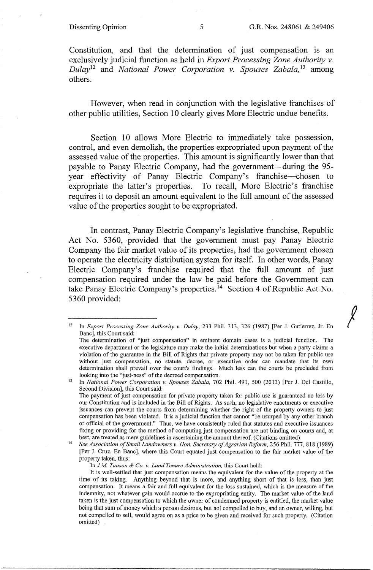$\int$ 

Constitution, and that the determination of just compensation is an exclusively judicial function as held in *Export Processing Zone Authority v. Dulay*<sup>12</sup>and *National Power Corporation v. Spouses Zabala,* 13 among others.

However, when read in conjunction with the legislative franchises of other public utilities, Section 10 clearly gives More Electric undue benefits.

Section 10 allows More Electric to immediately take possession, control, and even demolish, the properties expropriated upon payment of the assessed value of the properties. This amount is significantly lower than that payable to Panay Electric Company, had the government--during the 95 year effectivity of Panay Electric Company's franchise-chosen to expropriate the latter's properties. To recall, More Electric's franchise requires it to deposit an amount equivalent to the full amount of the assessed value of the properties sought to be expropriated.

In contrast, Panay Electric Company's legislative franchise, Republic Act No. 5360, provided that the government must pay Panay Electric Company the fair market value of its properties, had the government chosen to operate the electricity distribution system for itself. In other words, Panay Electric Company's franchise required that the full amount of just compensation required under the law be paid before the Government can take Panay Electric Company's properties.<sup>14</sup> Section 4 of Republic Act No. 5360 provided:

<sup>&</sup>lt;sup>12</sup> In *Export Processing Zone Authority v. Dulay*, 233 Phil. 313, 326 (1987) [Per J. Gutierrez, Jr. En Banc], this Court said:

The detennination of ''just compensation" in eminent domain cases is a judicial function. The executive department or the legislature may make the initial detenninations but when a party claims a violation of the guarantee in the Bill of Rights that private property may not be taken for public use without just compensation, no statute, decree, or executive order can mandate that its own detennination shall prevail over the court's findings. Much less can the courts be precluded from looking into the "just-ness" of the decreed compensation. 13 In *National Power Corporation v. Spouses Zabala,* 702 Phil. 491, 500 (2013) [Per J. Del Castillo,

Second Division], this Court said:

The payment of just compensation for private property taken for public use is guaranteed no less by our Constitution and is included in the Bill of Rights. As such, no legislative enactments or executive issuances can prevent the courts from determining whether the right of the property owners to just compensation has been violated. It is a judicial function that cannot "be usurped by any other branch or official of the government." Thus, we have consistently ruled that statutes and executive issuances fixing or providing for the method of computing just compensation are not binding on courts and, at best, are treated as mere guidelines in ascertaining the amount thereof. (Citations omitted)<br><sup>14</sup> *See Association of Small Landowners v. Hon. Secretary of Agrarian Reform,* 256 Phil. 777, 818 (1989)

<sup>[</sup>Per J. Cruz, En Banc], where this Court equated just compensation to the fair market value of the property taken, thus:

In *J.M Tuason & Co. v. Land Tenure Administration,* this Court held:

It is well-settled that just compensation means the equivalent for the value of the property at the time of its taking. Anything beyond that is more, and anything short of that is less, than just compensation. It means a fair and full equivalent for the loss sustained, which is the measure of the indemnity, not whatever gain would accrue to the expropriating entity. The market value of the land taken is the just compensation to which the owner of condemned property is entitled, the market value being that sum of money which a person desirous, but not compelled to buy, and an owner, willing, but not compelled to sell, would agree on as a price to be given and received for such property. (Citation omitted)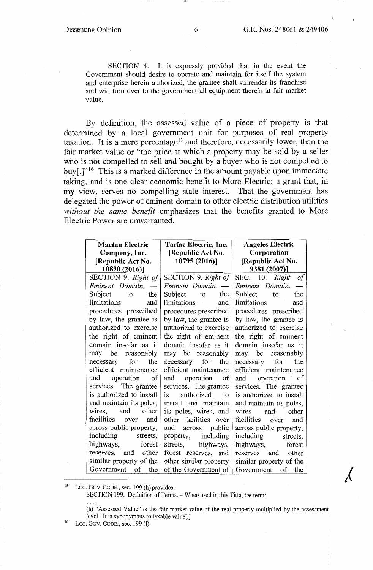SECTION 4. It is expressly provided that in the event the Government should desire to operate and maintain for itself the system and enterprise herein authorized, the grantee shall surrender its franchise and will turn over to the government all equipment therein at fair market value.

By definition, the assessed value of a piece of property is that determined by a local government unit for purposes of real property taxation. It is a mere percentage<sup>15</sup> and therefore, necessarily lower, than the fair market value or "the price at which a property may be sold by a seller who is not compelled to sell and bought by a buyer who is not compelled to buy[.]"<sup>16</sup> This is a marked difference in the amount payable upon immediate taking, and is one clear economic benefit to More Electric; a grant that, in my view, serves no compelling state interest. That the government has delegated the power of eminent domain to other electric distribution utilities *without the same benefit* emphasizes that the benefits granted to More Electric Power are unwarranted.

| <b>Mactan Electric</b><br>Company, Inc. | Tarlac Electric, Inc.<br>[Republic Act No. | Angeles Electric<br>Corporation |
|-----------------------------------------|--------------------------------------------|---------------------------------|
| [Republic Act No.                       | 10795 (2016)]                              | [Republic Act No.               |
| 10890 (2016)]                           |                                            | 9381 (2007)]                    |
| SECTION 9. Right of                     | SECTION 9. Right of                        | SEC. 10. Right<br>of            |
| Eminent Domain. —                       | Eminent Domain. -                          | Eminent Domain.                 |
| Subject to<br>the                       | Subject to<br>the                          | Subject<br>to<br>the            |
| limitations<br>and                      | limitations<br>and<br>and the control      | limitations<br>and              |
| procedures prescribed                   | procedures prescribed                      | procedures prescribed           |
| by law, the grantee is                  | by law, the grantee is                     | by law, the grantee is          |
| authorized to exercise                  | authorized to exercise                     | authorized to exercise          |
| the right of eminent                    | the right of eminent                       | the right of eminent            |
| domain insofar as it                    | domain insofar as it                       | domain insofar as it            |
| may be<br>reasonably                    | may be reasonably                          | may be<br>reasonably            |
| for<br>the<br>necessary                 | for<br>the<br>necessary                    | for<br>the<br>necessary         |
| efficient maintenance                   | efficient maintenance                      | efficient maintenance           |
| operation<br>and<br>of                  | operation<br>and<br>of                     | operation<br>and<br>$\circ$ of  |
| services. The grantee                   | services. The grantee                      | services. The grantee           |
| is authorized to install                | authorized<br>is<br>to                     | is authorized to install        |
| and maintain its poles,                 | install and maintain                       | and maintain its poles,         |
| and<br>other<br>wires,                  | its poles, wires, and                      | wires<br>and<br>other           |
| facilities<br>and<br>over               | other facilities over                      | facilities<br>and<br>over       |
| across public property,                 | and<br>across public                       | across public property,         |
| including<br>streets,                   | including<br>property,                     | including<br>streets,           |
| highways,<br>forest                     | streets, highways,                         | highways,<br>forest             |
| reserves, and other                     | forest reserves, and                       | reserves and other              |
| similar property of the                 | other similar property                     | similar property of the         |
| of<br>the<br>Government                 | of the Government of                       | $\sigma f$<br>Government<br>the |

<sup>15</sup> LOC. GOV. CODE., sec. 199 (h) provides:

SECTION 199. Definition of Terms. - When used in this Title, the term:

(h) "Assessed Value" is the fair market value of the real property multiplied by the assessment level. It is synonymous to taxable value[.]

<sup>16</sup> LOC. GOV. CODE., sec. 199 (l).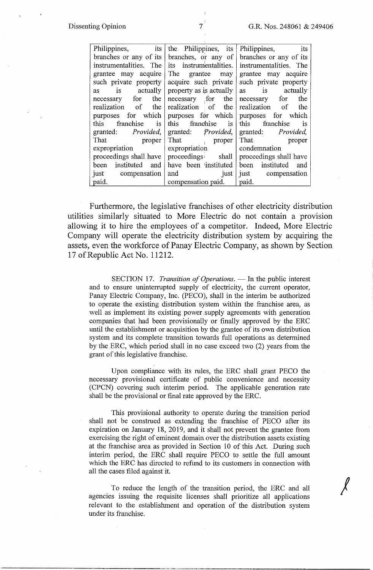| Philippines, its                                             | the Philippines, its         | Philippines, its                                                                 |
|--------------------------------------------------------------|------------------------------|----------------------------------------------------------------------------------|
|                                                              |                              | branches or any of its   branches, or any of   branches or any of its            |
|                                                              |                              | instrumentalities. The its instrumentalities. Instrumentalities. The             |
| grantee may acquire                                          | The grantee may              | grantee may acquire                                                              |
| such private property acquire such private                   |                              | such private property                                                            |
|                                                              |                              | as is actually property as is actually $\vert$ as is actually                    |
| necessary for the necessary for the necessary for the        |                              |                                                                                  |
| realization of the                                           | realization of the           | realization of the                                                               |
|                                                              |                              | purposes for which purposes for which purposes for which                         |
| this franchise is this franchise is this franchise is        |                              |                                                                                  |
|                                                              |                              | granted: <i>Provided</i> , granted: <i>Provided</i> , granted: <i>Provided</i> , |
| That proper                                                  |                              | That proper That proper                                                          |
| expropriation   expropriation   condemnation                 |                              |                                                                                  |
| proceedings shall have $ $ proceedings shall                 |                              | proceedings shall have                                                           |
| been instituted and have been instituted been instituted and |                              |                                                                                  |
| just compensation                                            | and just                     | just compensation                                                                |
| paid.                                                        | compensation paid. $ $ paid. |                                                                                  |

Furthermore, the legislative franchises of other electricity distribution utilities similarly situated to More Electric do not contain a provision allowing it to hire the employees of a competitor. Indeed, More Electric Company will operate the electricity distribution system by acquiring the assets, even the workforce of Panay Electric Company, as shown by Section 17 of Republic Act No. 11212.

SECTION 17. *Transition of Operations*. - In the public interest and to ensure uninterrupted supply of electricity, the current operator, Panay Electric Company, Inc. (PECO), shall in the interim be authorized to operate the existing distribution system within the franchise area, as well as implement its existing power .supply agreements with generation companies that had been provisionally or finally approved by the ERC until the establishment or acquisition by the grantee of its own distribution system and its complete transition towards full operations as determined by the ERC, which period shall in no case exceed two (2) years from the grant of this legislative franchise.

Upon compliance with its rules, the ERC shall grant PECO the necessary provisional certificate of public convenience and necessity (CPCN) covering such interim period. The applicable generation rate shall be the provisional or final rate approved by the ERC.

This provisional authority to operate during the transition period shall not be construed as extending the franchise of PECO after its expiration on January 18, 2019, and it shall not prevent the grantee from exercising the right of eminent domain over the distribution assets existing at the franchise area as provided in Section 10 of this Act. During such interim period, the ERC shall require PECO to settle the full amount which the ERC has directed to refund to its customers in connection with all the cases filed against it.

To reduce the length of the transition period, the ERC and all / agencies issuing the requisite licenses shall prioritize all applications relevant to the establishment and operation of the distribution system under its franchise.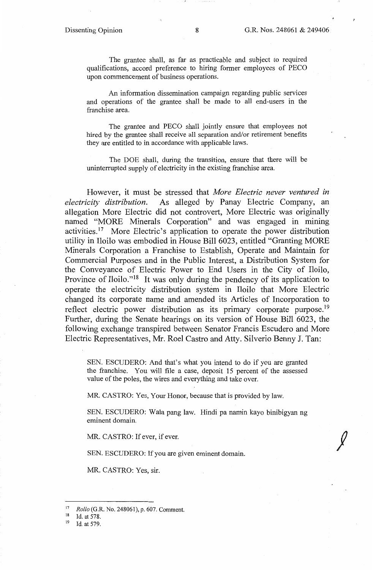*I* 

The grantee shall, as far as practicable and subject to required qualifications, accord preference to hiring former employees of PECO upon commencement of business operations.

An information dissemination campaign regarding public services and operations of the grantee shall be made to all end-users in the franchise area.

The grantee and PECO shall jointly ensure that employees not hired by the grantee shall receive all separation and/or retirement benefits they are entitled to in accordance with applicable laws.

The DOE shall, during the transition, ensure that there will be uninterrupted supply of electricity in the existing franchise area.

However, it must be stressed that *More Electric never ventured in electricity distribution.* As alleged by Panay Electric Company, an allegation More Electric did not controvert, More Electric was originally named "MORE Minerals Corporation" and was engaged in mining activities.<sup>17</sup> More Electric's application to operate the power distribution utility in Iloilo was embodied in House Bill 6023, entitled "Granting MORE Minerals Corporation a Franchise to Establish, Operate and Maintain for Commercial Purposes and in the Public Interest, a Distribution System for the Conveyance of Electric Power to End Users in the City of Iloilo, Province of Iloilo."<sup>18</sup> It was only during the pendency of its application to operate the electricity distribution system in Iloilo that More Electric changed its corporate name and amended its Articles of Incorporation to reflect electric power distribution as its primary corporate purpose.<sup>19</sup> Further, during the Senate hearings on its version of House Bill 6023, the following exchange transpired between Senator Francis Escudero and More Electric Representatives, Mr. Roel Castro and Atty. Silverio Benny J. Tan:

SEN. ESCUDERO: And that's what you intend to do if you are granted the franchise. You will file a case, deposit 15 percent of the assessed value of the poles, the wires and everything and take over.

MR. CASTRO: Yes, Your Honor, because that is provided by law.

SEN. ESCUDERO: Wala pang law. Hindi pa namin kayo binibigyan ng eminent domain.

MR. CASTRO: If ever, if ever.

SEN. ESCUDERO: If you are given eminent domain.

MR. CASTRO: Yes, sir.

<sup>&</sup>lt;sup>17</sup> *Rollo* (G.R. No. 248061), p. 607. Comment.<br><sup>18</sup> Id at 578

 $\frac{18}{19}$  Id. at 578.

Id. at 579.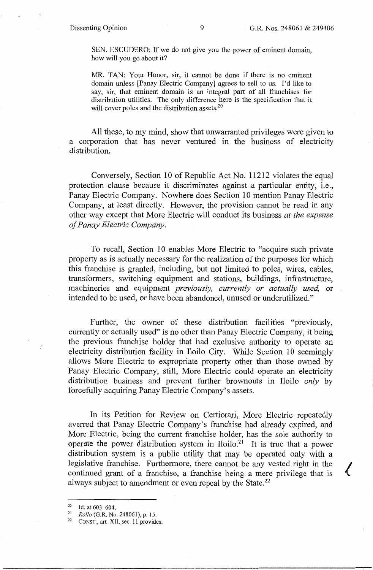*(* 

SEN. ESCUDERO: If we do not give you the power of eminent domain, how will you go about it?

MR. TAN: Your Honor, sir, it cannot be done if there is no eminent domain unless [Panay Electric Company] agrees to sell to us. I'd like to say, sir, that eminent domain is an integral part of all franchises for distribution utilities. The only difference here is the specification that it will cover poles and the distribution assets.<sup>20</sup>

All these, to my mind, show that unwarranted privileges were given to a corporation that has never ventured in the business of electricity distribution.

Conversely, Section 10 of Republic Act No. 11212 violates the equal protection clause because it discriminates against a particular entity, i.e., Panay Electric Company. Nowhere does Section 10 mention Panay Electric Company, at least directly. However, the provision cannot be read in any other way except that More Electric will conduct its business *at the expense of Panay Electric Company.* 

To recall, Section 10 enables More Electric to "acquire such private property as is actually necessary for the realization of the purposes for which this franchise is granted, including, but not limited to poles, wires, cables, transformers, switching equipment and stations, buildings, infrastructure, machineries and equipment *previously, currently or actually used,* or intended to be used, or have been abandoned, unused or underutilized."

Further, the owner of these distribution facilities "previously, currently or actually used" is no other than Panay Electric Company, it being the previous franchise holder that had exclusive authority to operate an electricity distribution facility in Iloilo City. While Section 10 seemingly allows More Electric to expropriate property other than those owned by Panay Electric Company, still, More Electric could operate an electricity distribution business and prevent further brownouts in Iloilo *only* by forcefully acquiring Panay Electric Company's assets.

In its Petition for Review on Certiorari, More Electric repeatedly averred that Panay Electric Company's franchise had already expired, and More Electric, being the current franchise holder, has the sole authority to operate the power distribution system in Iloilo.<sup>21</sup> It is true that a power distribution system is a public utility that may be operated only with a legislative franchise. Furthermore, there cannot be any vested right in the continued grant of a franchise, a franchise being a mere privilege that is always subject to amendment or even repeal by the State.<sup>22</sup>

<sup>&</sup>lt;sup>20</sup> Id. at 603–604.<br><sup>21</sup> *Rollo* (G.R. No. 248061), p. 15.<br><sup>22</sup> CONST., art. XII, sec. 11 provides: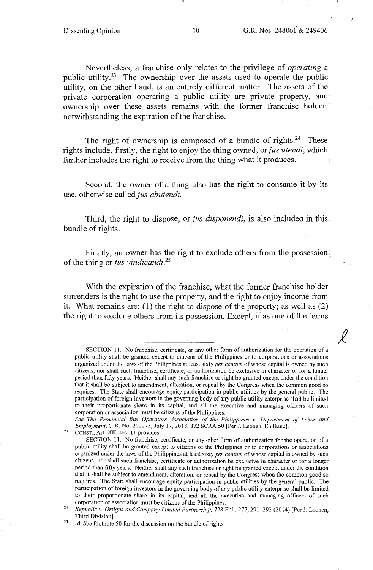$\ell$ 

Nevertheless, a franchise only relates to the privilege of *operating* a public utility. 23 The ownership over the assets used to operate the public utility, on the other hand, is an entirely different matter. The assets of the private corporation operating a public utility are private property, and ownership over these assets remains with the former franchise holder, notwithstanding the expiration of the franchise.

The right of ownership is composed of a bundle of rights.<sup>24</sup> These rights include, firstly, the right to enjoy the thing owned, or *}us utendi,* which further includes the right to receive from the thing what it produces.

Second, the owner of a thing also has the right to consume it by its use, otherwise called *jus abutendi*.

Third, the right to dispose, or *jus disponendi*, is also included in this bundle of rights.

Finally, an owner has the right to exclude others from the possession of the thing or *jus vindicandi*.<sup>25</sup>

With the expiration of the franchise, what the former franchise holder surrenders is the right to use the property, and the right to enjoy income from it. What remains are: (1) the right to dispose of the property; as well as (2) the right to exclude others from its possession. Except, if as one of the terms

*See The Provincial Bus Operators Association of the Philippines v. Department of Labor and Employment*, G.R. No. 202275, July 17, 2018, 872 SCRA 50 [Per J. Leonen, En Banc].<br><sup>23</sup> CONST., Art. XII, sec. 11 provides:

SECTION 11. No franchise, certificate, or any other form of authorization for the operation of a public utility shall be granted except to citizens of the Philippines or to corporations or associations organized under the laws of the Philippines at least sixty *per centum* of whose capital is owned by such citizens, nor shall such franchise, certificate, or authorization be exclusive in character or for a longer period than fifty years. Neither shall any such franchise or right be granted except under the condition that it shall be subject to amendment, alteration, or repeal by the Congress when the common good so requires. The State shall encourage equity participation in public utilities by the general public. The participation of foreign investors in the governing body of any public utility enterprise shall be limited to their proportionate share in its capital, and all the executive and managing officers of such corporation or association must be citizens of the Philippines.

SECTION 11. No franchise, certificate, or any other form of authorization for the operation of a public utility shall be granted except to citizens of the Philippines or to corporations or associations organized under the laws of the Philippines at least sixty *per centum* of whose capital is owned by such citizens, nor shall such franchise, certificate or authorization be exclusive in character or for a longer period than fifty years. Neither shall any such franchise or right be granted except under the condition that it shall be subject to amendment, alteration, or repeal by the Congress when the common good so requires. The State shall encourage equity participation in public utilities by the general public. The participation of foreign investors in the governing body of any public utility enterprise shall be limited to their proportionate share in its capital, and all the executive and managing officers of such corporation or association must be citizens of the Philippines.

Republic v. Ortigas and Company Limited Partnership, 728 Phil. 277, 291-292 (2014) [Per J. Leonen, Third Division].

<sup>&</sup>lt;sup>25</sup> Id. *See* footnote 50 for the discussion on the bundle of rights.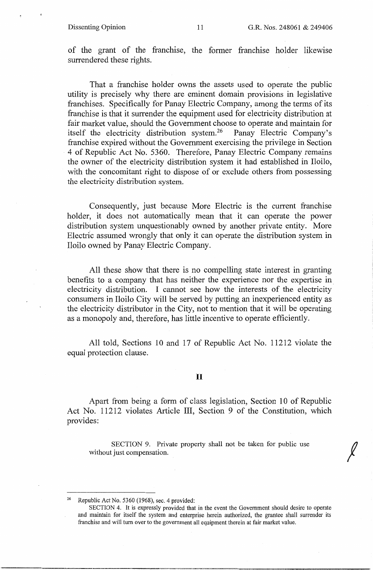*!* 

of the grant of the franchise, the former franchise holder likewise surrendered these rights.

That a franchise holder owns the assets used to operate the public utility is precisely why there are eminent domain provisions in legislative franchises. Specifically for Panay Electric Company, among the tenns of its franchise is that it surrender the equipment used for electricity distribution at fair market value, should the Government choose to operate and maintain for itself the electricity distribution system.<sup>26</sup> Panay Electric Company's itself the electricity distribution system.<sup>26</sup> franchise expired without the Government exercising the privilege in Section 4 of Republic Act No. 5360. Therefore, Panay Electric Company remains the owner of the electricity distribution system it had established in Iloilo, with the concomitant right to dispose of or exclude others from possessing the electricity distribution system.

Consequently, just because More Electric is the current franchise holder, it does not automatically mean that it can operate the power distribution system unquestionably owned by another private entity. More Electric assumed wrongly that only it can operate the distribution system in Iloilo owned by Panay Electric Company.

All these show that there is no compelling state interest in granting benefits to a company that has neither the experience nor the expertise in. electricity distribution. I cannot see how the interests of the electricity consumers in Iloilo City will be served by putting an inexperienced entity as the electricity distributor in the City, not to mention that it will be operating as a monopoly and, therefore, has little incentive to operate efficiently.

All told, Sections 10 and 17 of Republic Act No. 11212 violate the equal protection clause.

 $\mathbf{I}$ 

Apart from being a form of class legislation, Section 10 of Republic Act No. 11212 violates Article III, Section 9 of the Constitution, which provides:

SECTION 9. Private property shall not be taken for public use without just compensation.

<sup>26</sup> Republic Act No. 5360 (1968), sec. 4 provided:

SECTION 4. It is expressly provided that in the event the Government should desire to operate and maintain for itself the system and enterprise herein authorized, the grantee shall surrender its franchise and will turn over to the government all equipment therein at fair market value.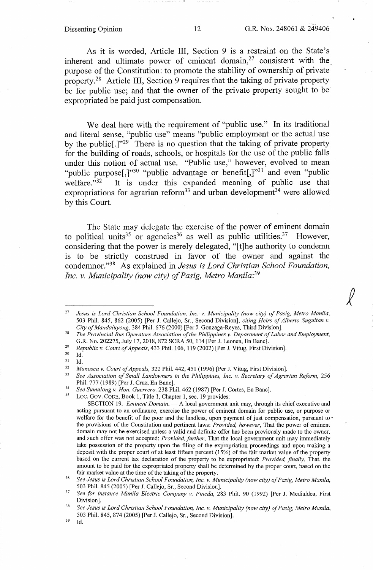As it is worded, Article III, Section 9 is a restraint on the State's inherent and ultimate power of eminent domain, $27$  consistent with the purpose of the Constitution: to promote the stability of ownership of private property.<sup>28</sup> Article III, Section 9 requires that the taking of private property be for public use; and that the owner of the private property sought to be expropriated be paid just compensation.

We deal here with the requirement of "public use." In its traditional and literal sense, "public use" means "public employment or the actual use by the public[.] $1^{29}$  There is no question that the taking of private property for the building of roads, schools, or hospitals for the use of the public falls under this notion of actual use. "Public use," however, evolved to mean "public purpose<sup>[1,]"30</sup> "public advantage or benefit<sup>[1,]"31</sup> and even "public" welfare."<sup>32</sup> It is under this expanded meaning of public use that expropriations for agrarian reform<sup>33</sup> and urban development<sup>34</sup> were allowed by this Court.

The State may delegate the exercise of the power of eminent domain to political units<sup>35</sup> or agencies<sup>36</sup> as well as public utilities.<sup>37</sup> However, considering that the power is merely delegated, "[t]he authority to condemn is to be strictly construed in favor of the owner and against the condemnor."38 As explained in *Jesus is Lord Christian School Foundation, Inc. v. Municipality (now city) of Pasig, Metro Manila: <sup>39</sup>*

<sup>31</sup> Id.<br><sup>32</sup> *Manosca v. Court of Appeals,* 322 Phil. 442, 451 (1996) [Per J. Vitug, First Division].<br><sup>33</sup> *See Association of Small Landowners in the Philippines, Inc. v. Secretary of Agrarian Reform, 256*<br>Phil. 777 (198

- Phil. 777 (1989) [Per J. Cruz, En Banc]. 34 *See Sumulongv. Hon. Guerrero,* 238 Phil. 462 (1987) [Per J. Cortes, En Banc]. 35 Loe. Gov. CODE, Book I, Title I, Chapter I, sec. 19 provides:
- 

39 Id.

<sup>27</sup>*Jesus is Lord Christian School Foundation, Inc. v. Municipality (now city) of Pasig, Metro Manila,*  503 Phil. 845, 862 (2005) [Per J. Callejo, Sr., Second Division], *citing Heirs of Alberto Suguitan v.* 

*City of Mandaluyong,* 384 Phil. 676 (2000) [Per J. Gonzaga-Reyes, Third Division]. 28 *The Provincial Bus Operators Association of the Philippines v. Department of Labor and Employment,* 

<sup>&</sup>lt;sup>29</sup> Republic v. Court of Appeals, 433 Phil. 106, 119 (2002) [Per J. Vitug, First Division].<br><sup>30</sup> <sup>Id</sup>

<sup>30</sup> Id.

SECTION 19. *Eminent Domain*. - A local government unit may, through its chief executive and acting pursuant to an ordinance, exercise the power of eminent domain for public use, or purpose or welfare for the benefit of the poor and the landless, upon payment of just compensation, pursuant to · the provisions of the Constitution and pertinent laws: *Provided, however,* That the power of eminent domain may not be exercised unless a valid and definite offer has been previously made to the owner, and such offer was not accepted: *Provided, further,* That the local government unit may immediately take possession of the property upon the filing of the expropriation proceedings and upon making a deposit with the proper court of at least fifteen percent (15%) of the fair market value of the property based on the current tax declaration of the property to be expropriated: *Provided, finally,* That, the amount to be paid for the expropriated property shall be determined by the proper court, based on the

fair market value at the time of the taking of the property.<br><sup>36</sup> *See Jesus is Lord Christian School Foundation, Inc. v. Municipality (now city) of Pasig, Metro Manila,*<br>503 Phil. 845 (2005) [Per J. Callejo, Sr., Second D

<sup>&</sup>lt;sup>37</sup> See for instance Manila Electric Company v. Pineda, 283 Phil. 90 (1992) [Per J. Medialdea, First Division]. 38 *See Jesus is Lord Christian School Foundation, Inc. v. Municipality (now city) of Pasig, Metro Manila,* 

<sup>503</sup> Phil. 845, 874 (2005) [Per J. Callejo, Sr., Second Division].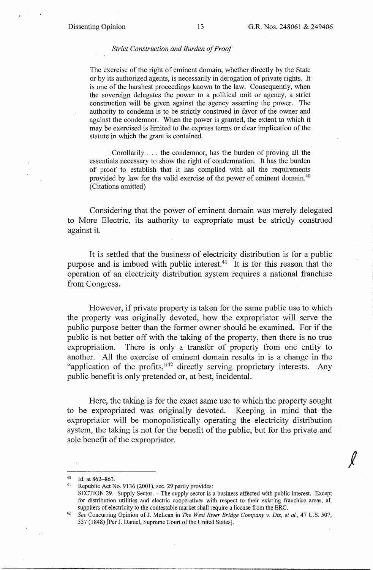# *Strict Construction and Burden of Proof*

The exercise of the right of eminent domain, whether directly by the State or by its authorized agents, is necessarily in derogation of private rights. It is one of the harshest proceedings known to the law. Consequently, when the sovereign delegates the power to a political unit or agency, a strict construction will be given against the agency asserting the power. The authority to condemn is to be strictly construed in favor of the owner and against the condemnor. When the power is granted, the extent to which it may be exercised is limited to the express terms or clear implication of the statute in which the grant is contained.

Corollarily ... the condemnor, has the burden of proving all the essentials necessary to show the right of condemnation. It has the burden of proof to establish that it has complied with all the requirements provided by law for the valid exercise of the power of eminent domain.<sup>40</sup> (Citations omitted)

Considering that the power of eminent domain was merely delegated to More Electric, its authority to expropriate must be strictly construed against it.

It is settled that the business of electricity distribution is for a public purpose and is imbued with public interest.<sup>41</sup> It is for this reason that the operation of an electricity distribution system requires a national franchise from Congress.

However, if private property is taken for the same public use to which the property was originally devoted, how the expropriator will serve the public purpose better than the former owner should be examined. For if the public is not better off with the taking of the property, then there is no true expropriation. There is only a transfer of property from one entity to another. All the exercise of eminent domain results in is a change in the "application of the profits,"<sup>42</sup> directly serving proprietary interests. Any public benefit is only pretended or, at best, incidental.

Here, the taking is for the exact same use to which the property sought to be expropriated was originally devoted. Keeping in mind that the expropriator will be monopolistically operating the electricity distribution system, the taking is not for the benefit of the public, but for the private and sole benefit of the expropriator.

<sup>40</sup> Id. at 862-863.

Republic Act No. 9136 (2001), sec. 29 partly provides:

SECTION 29. Supply Sector. - The supply sector is a business affected with public interest. Except for distribution utilities and electric cooperatives with respect to their existing franchise areas, all suppliers of electricity to the contestable market shall require a license from the ERC.

See Concurring Opinion of J. McLean in *The West River Bridge Company v. Dix, et al.*, 47 U.S. 507, 537 (I 848) [Per J. Daniel, Supreme Court of the United States].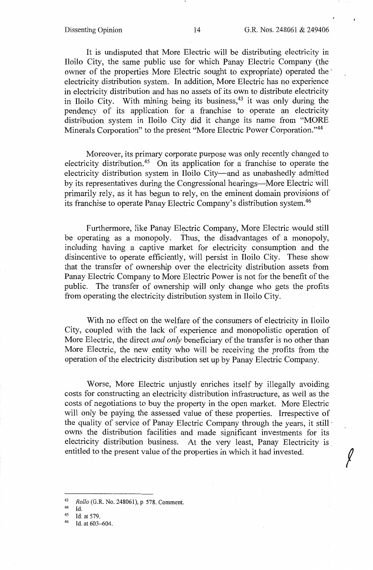f

It is undisputed that More Electric will be distributing electricity in Iloilo City, the same public use for which Panay Electric Company (the owner of the properties More Electric sought to expropriate) operated the electricity distribution system. In addition, More Electric has no experience in electricity distribution and has no assets of its own to distribute electricity in Iloilo City. With mining being its business,  $43$  it was only during the pendency of its application for a franchise to operate an electricity distribution system in Iloilo City did it change its name from "MORE Minerals Corporation" to the present "More Electric Power Corporation. "<sup>44</sup>

Moreover, its primary corporate purpose was only recently changed to electricity distribution.<sup>45</sup> On its application for a franchise to operate the electricity distribution system in Iloilo City-and as unabashedly admitted by its representatives during the Congressional hearings-More Electric will primarily rely, as it has begun to rely, on the eminent domain provisions of its franchise to operate Panay Electric Company's distribution system. 46

Furthermore, like Panay Electric Company, More Electric would still be operating as a monopoly. Thus, the disadvantages of a monopoly, including having a captive market for electricity consumption and the disincentive to operate efficiently, will persist in Iloilo City. These show that the transfer of ownership over the electricity distribution assets from Panay Electric Company to More Electric Power is not for the benefit of the public. The transfer of ownership will only change who gets the profits from operating the electricity distribution system in Iloilo City.

With no effect on the welfare of the consumers of electricity in Iloilo City, coupled with the lack of experience and monopolistic operation of More Electric, the direct *and only* beneficiary of the transfer is no other than More Electric, the new entity who will be receiving the profits from the operation of the electricity distribution set up by Panay Electric Company.

Worse, More Electric unjustly enriches itself by illegally avoiding costs for constructing an electricity distribution infrastructure, as well as the costs of negotiations to buy the property in the open market. More Electric will only be paying the assessed value of these properties. Irrespective of the quality of service of Panay Electric Company through the years, it still · owns the distribution facilities and made significant investments for its electricity distribution business. At the very least, Panay Electricity is entitled to the present value of the properties in which it had invested.

<sup>43</sup>*Rollo* (G.R. No. 248061), p. 578. Comment.

<sup>44</sup> Id.

<sup>45</sup> Id. at 579.<br> $46$  Id. at 603-604.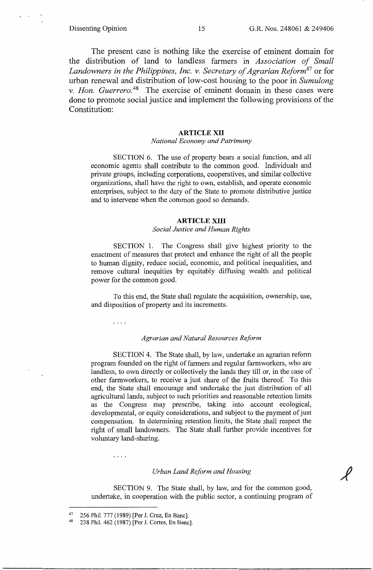The present case is nothing like the exercise of eminent domain for the distribution of land to landless farmers in *Association of Small Landowners in the Philippines, Inc. v. Secretary of Agrarian Reform47* or for urban renewal and distribution of low-cost housing to the poor in *Sumulong v. Hon. Guerrero.* 48 The exercise of eminent domain in these cases were done to promote social justice and implement the following provisions of the Constitution:

### **ARTICLE XII**

## *National Economy and Patrimony*

SECTION 6. The use of property bears a social function, and all economic agents shall contribute to the common good. Individuals and private groups, including corporations, cooperatives, and similar collective organizations, shall have the right to own, establish, and operate economic enterprises, subject to the duty of the State to promote distributive justice and to intervene when the common good so demands.

## **ARTICLE XIII**

## *Social Justice and Human Rights*

SECTION 1. The Congress shall give highest priority to the enactment of measures that protect and enhance the right of all the people to human dignity, reduce social, economic, and political inequalities, and remove cultural inequities by equitably diffusing wealth and political power for the common good.

To this end, the State shall regulate the acquisition, ownership, use, and disposition of property and its increments.

 $\cdots$ 

### *Agrarian and Natural Resources Reform*

SECTION 4. The State shall, by law, undertake an agrarian reform program founded on the right of farmers and regular farmworkers, who are landless, to own directly or collectively the lands they till or, in the case of other farmworkers, to receive a just share of the fruits thereof. To this end, the State shall encourage and undertake the just distribution of all agricultural lands, subject to such priorities and reasonable retention limits as the Congress may prescribe, taking into account ecological, developmental, or equity considerations, and subject to the payment of just compensation. In determining retention limits, the State shall respect the right of small landowners. The State shall further provide incentives for voluntary land-sharing.

## *Urban Land Reform and Housing*

SECTION 9. The State shall, by law, and for the common good, undertake, in cooperation with the public sector, a continuing program of

. . . .

<sup>256</sup> Phil. 777 (1989) [Per J. Cruz, En Banc].<br>238 Phil. 462 (1987) [Per J. Cortes, En Banc].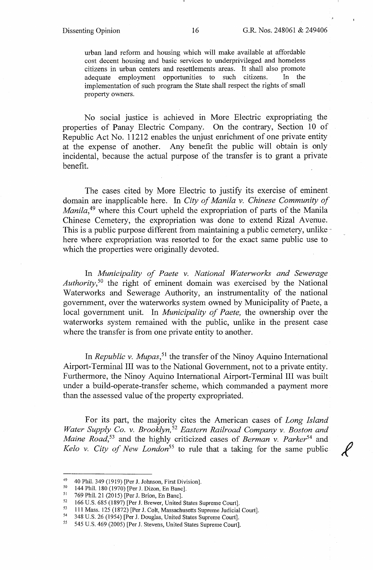urban land reform and housing which will make .available at affordable cost decent housing and basic services to underprivileged and homeless citizens in urban centers and resettlements areas. It shall also promote adequate employment opportunities to such citizens. In the implementation of such program the State shall respect the rights of small property owners.

No social justice is achieved in More Electric expropriating the properties of Panay Electric Company. On the contrary, Section 10 of Republic Act No. 11212 enables the unjust enrichment of one private entity at the expense of another. Any benefit the public will obtain is only incidental, because the actual purpose of the transfer is to grant a private benefit.

The cases cited by More Electric to justify its exercise of eminent domain are inapplicable here. In *City of Manila v. Chinese Community of Manila*,<sup>49</sup> where this Court upheld the expropriation of parts of the Manila Chinese Cemetery, the expropriation was done to extend Rizal Avenue. This is a public purpose different from maintaining a public cemetery, unlike·· here where expropriation was resorted to for the exact same public use to which the properties were originally devoted.

In *Municipality of Paete v. National Waterworks and Sewerage Authority,50* the right of eminent domain was exercised by the National Waterworks and Sewerage Authority, an instrumentality of the national government, over the waterworks system owned by Municipality of Paete, a local government unit. In *Municipality of Paete,* the ownership over the waterworks system remained with the public, unlike in the present case where the transfer is from one private entity to another.

In *Republic v. Mupas*,<sup>51</sup> the transfer of the Ninoy Aquino International Airport-Terminal III was to the National Government, not to a private entity. Furthermore, the Ninoy Aquino International Airport-Terminal III was built under a build-operate-transfer scheme, which commanded a payment more than the assessed value of the property expropriated.

For its part, the majority cites the American cases of *Long Island Water Supply Co. v. Brooklyn, 52 Eastern Railroad Company v. Boston and Maine Road*<sup>53</sup> and the highly criticized cases of *Berman v. Parker*<sup>54</sup> and *Kelo v. City of New London*<sup>55</sup> to rule that a taking for the same public

<sup>49 40</sup> Phil. 349 (1919) [Per J. Johnson, First Division].<br>
<sup>50</sup> 144 Phil. 180 (1970) [Per J. Dizon, En Banc].<br>
<sup>51</sup> 769 Phil 21 (2015) [Per J. Brion, En Banc].

<sup>&</sup>lt;sup>51</sup> 769 Phil. 21 (2015) [Per J. Brion, En Banc].<br><sup>52</sup> 166 U.S. 685 (1897) [Per J. Brewer, United States Supreme Court].<br><sup>53</sup> 111 Mass. 125 (1872) [Per J. Colt, Massachusetts Supreme Judicial Court].<br><sup>54</sup> 348 U.S. 26 (195

<sup>&</sup>lt;sup>54</sup> 348 U.S. 26 (1954) [Per J. Douglas, United States Supreme Court].<br><sup>55</sup> 545 U.S. 469 (2005) [Per J. Stavens, United States Supreme Court].

<sup>55 545</sup> U.S. 469 (2005) [Per J. Stevens, United States Supreme Court].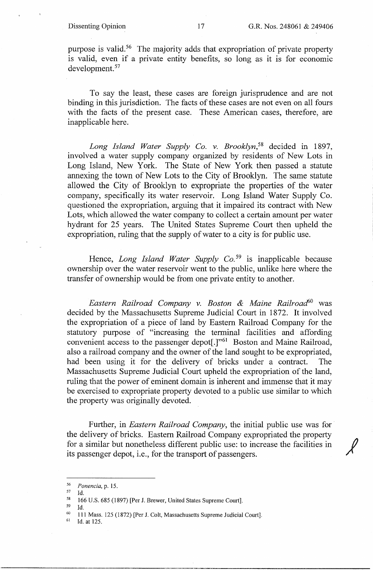purpose is valid. 56 The majority adds that expropriation of private property is valid, even if a private entity benefits, so long as it is for economic development. 57

To say the least, these cases are foreign jurisprudence and are not binding in this jurisdiction. The facts of these cases are not even on all fours with the facts of the present case. These American cases, therefore, are inapplicable here.

*Long Island Water Supply Co. v. Brooklyn,58* decided in 1897, involved a water supply company organized by residents of New Lots in Long Island, New York. The State of New York then passed a statute annexing the town of New Lots to the City of Brooklyn. The same statute allowed the City of Brooklyn to expropriate the properties of the water company, specifically its water reservoir. Long Island Water Supply Co. questioned the expropriation, arguing that it impaired its contract with New Lots, which allowed the water company to collect a certain amount per water hydrant for 25 years. The United States Supreme Court then upheld the expropriation, ruling that the supply of water to a city is for public use.

Hence, *Long Island Water Supply Co.*<sup>59</sup> is inapplicable because ownership over the water reservoir went to the public, unlike here where the transfer of ownership would be from one private entity to another.

*Eastern Railroad Company v. Boston & Maine Railroad5°* was decided by the Massachusetts Supreme Judicial Court in 1872. It involved the expropriation of a piece of land by Eastern Railroad Company for the statutory purpose of "increasing the terminal facilities and affording convenient access to the passenger depot<sup>[.]"61</sup> Boston and Maine Railroad, also a railroad company and the owner of the land sought to be expropriated, had been using it for the delivery of bricks under a contract. The Massachusetts Supreme Judicial Court upheld the expropriation of the land, ruling that the power of eminent domain is inherent and immense that it may be exercised to expropriate property devoted to a public use similar to which the property was originally devoted.

Further, in *Eastern Railroad Company,* the initial public use was for the delivery of bricks. Eastern Railroad Company expropriated the property<br>for a similar but nonetheless different public use: to increase the facilities in its passenger depot, i.e., for the transport of passengers.

<sup>56</sup>*Ponencia,* p. 15.

 $57 \text{ Id.}$ <br>  $58 \text{ 166 U.S. } 685 \text{ (1897)}$  [Per J. Brewer, United States Supreme Court].

 $\frac{59}{60}$  Id. 60 111 Mass. 125 (1872) [Per J. Colt, Massachusetts Supreme Judicial Court].<br><sup>61</sup> Id. at 125.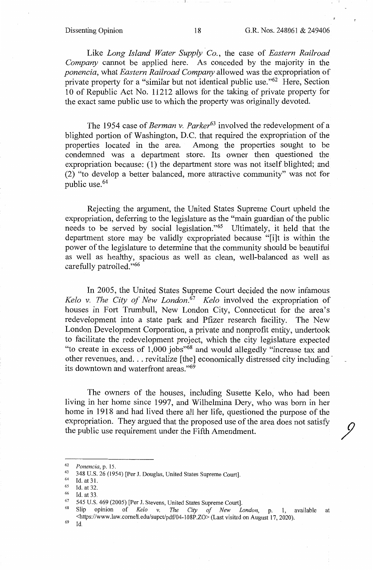Like *Long Island Water Supply Co.,* the case of *Eastern Railroad Company* cannot be applied here. As conceded by the majority in the *ponencia,* what *Eastern Railroad Company* allowed was the expropriation of private property for a "similar but not identical public use. "62 Here, Section 10 of Republic Act No. 11212 allows for the taking of private property for the exact same public use to which the property was originally devoted.

The 1954 case of *Berman v. Parker63* involved the redevelopment of a blighted portion of Washington, D.C. that required the expropriation of the properties located in the area. Among the properties sought to be condemned was a department store. Its owner then questioned the expropriation because: (1) the department store was not itself blighted; and (2) "to develop a better balanced, more attractive community" was not for public use. <sup>64</sup>

Rejecting the argument, the United States Supreme Court upheld the expropriation, deferring to the legislature as the "main guardian of the public needs to be served by social legislation."65 Ultimately, it held that the department store may be validly expropriated because "[i]t is within the power of the legislature to determine that the community should be beautiful as well as healthy, spacious as well as clean, well-balanced as well as carefully patrolled."66

In 2005, the United States Supreme Court decided the now infamous *Kela v. The City of New London.67 Kela* involved the expropriation of houses in Fort Trumbull, New London City, Connecticut for the area's redevelopment into a state park and Pfizer research facility. The New London Development Corporation, a private and nonprofit entity, undertook to facilitate the redevelopment project, which the city legislature expected "to create in excess of 1,000 jobs"<sup>68</sup> and would allegedly "increase tax and other revenues, and ... revitalize [the] economically distressed city including· its downtown and waterfront areas."69

The owners of the houses, including Susette Kelo, who had been living in her home since 1997, and Wilhelmina Dery, who was born in her home in 1918 and had lived there all her life, questioned the purpose of the expropriation. They argued that the proposed use of the area does not satisfy the public use requirement under the Fifth Amendment.

<sup>&</sup>lt;sup>62</sup> Ponencia, p. 15.<br>
<sup>63</sup> 348 U.S. 26 (1954) [Per J. Douglas, United States Supreme Court].<br>
<sup>64</sup> Id. at 31.<br>
<sup>65</sup> Id. at 32.<br>
<sup>66</sup> Id. at 33.<br>
<sup>67</sup> 545 U.S. 469 (2005) [Per J. Stevens, United States Supreme Court].<br>
<sup>6</sup> <https://www.law.cornell.edu/supct/pdf/04-l08P.ZO> (Last visited on August 17, 2020).

<sup>69</sup> Id.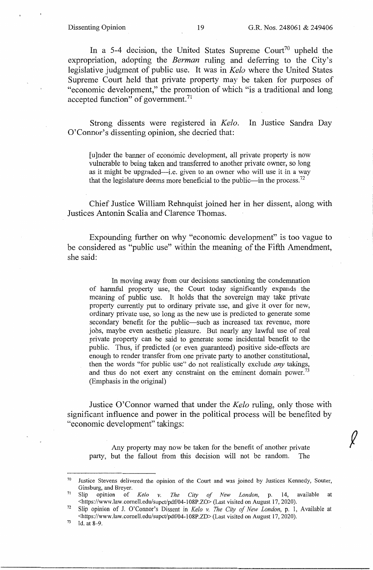In a 5-4 decision, the United States Supreme Court<sup>70</sup> upheld the expropriation, adopting the *Berman* ruling and deferring to the City's legislative judgment of public use. It was in *Kelo* where the United States Supreme Court held that private property may be taken for purposes of "economic development," the promotion of which "is a traditional and long accepted function" of government.<sup>71</sup>

Strong dissents were registered in *Kelo.* In Justice Sandra Day O'Connor's dissenting opinion, she decried that:

[u]nder the banner of economic development, all private property is now vulnerable to being taken and transferred to another private owner, so long as it might be upgraded—i.e. given to an owner who will use it in a way that the legislature deems more beneficial to the public—in the process.<sup>72</sup>

Chief Justice William Rehnquist joined her in her dissent, along with Justices Antonin Scalia and Clarence Thomas.

Expounding further on why "economic development" is too vague to be considered as "public use" within the meaning of the Fifth Amendment, she said:

In moving away from our decisions sanctioning the condemnation of harmful property use, the Court today significantly expands the meaning of public use. It holds that the sovereign may take private property currently put to ordinary private use, and give it over for new, ordinary private use, so long as the new use is predicted to generate some secondary benefit for the public-such as increased tax revenue, more jobs, maybe even aesthetic pleasure. But nearly any lawful use of real private property can be said to generate some incidental benefit to the public. Thus, if predicted ( or even guaranteed) positive side-effects are enough to render transfer from one private party to another constitutional, then the words "for public use" do not realistically exclude *any* takings, and thus do not exert any constraint on the eminent domain power.<sup>73</sup> (Emphasis in the original)

Justice O'Connor warned that under the *Kelo* ruling, only those with significant influence and power in the political process will be benefited by "economic development" takings:

Any property may now be taken for the benefit of another private party, but the fallout from this decision will not be random. The

<sup>&</sup>lt;sup>70</sup> Justice Stevens delivered the opinion of the Court and was joined by Justices Kennedy, Souter, Ginsburg, and Breyer.<br><sup>71</sup> Slip opinion of *Kelo v. The City of New London*, p. 14, available at

<sup>&</sup>lt;https://www.law.comell.edu/supct/pdf/04-108P.ZO> (Last visited on August 17, 2020).

<sup>72</sup> Slip opinion of J. O'Connor's Dissent in *Keio v. The City of New London,* p. I, Available at <https://www.law.comell.edu/supct/pdf/04-1 0&P.ZD> (Last visited on August 17, 2020). 73 Id. at 8-9.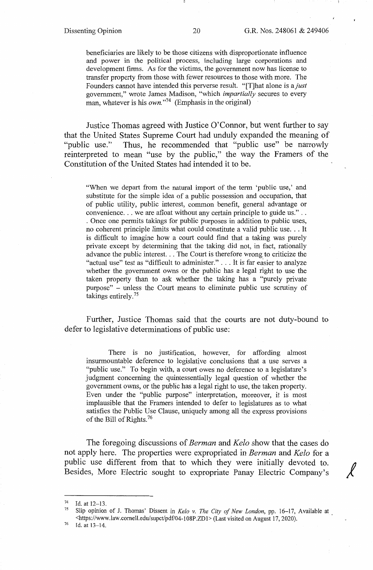beneficiaries are likely to be those citizens with disproportionate influence and power in the political process, including large corporations and development firms. As for the victims, the government now has license to transfer property from those with fewer resources to those with more. The Founders cannot have intended this perverse result. "[T]hat alone is a *just*  government," wrote James Madison, "which *impartially* secures to every man, whatever is his *own*.<sup>"74</sup> (Emphasis in the original)

Justice Thomas agreed with Justice O'Connor, but went further to say that the United States Supreme Court had unduly expanded the meaning of "public use." Thus, he recommended that "public use" be narrowly reinterpreted to mean "use by the public," the way the Framers of the Constitution of the United States had intended it to be.

"When we depart from the natural import of the term 'public use,' and substitute for the simple idea of a public possession and occupation, that of public utility, public interest, common benefit, general advantage or convenience ... we are afloat without any certain principle to guide us." .. . Once one permits takings for public purposes in addition to public uses, no coherent principle limits what could constitute a valid public use ... It is difficult to imagine how a court could find that a taking was purely private except by determining that the taking did not, in fact, rationally advance the public interest. .. The Court is therefore wrong to criticize the "actual use" test as "difficult to administer." . . . It is far easier to analyze whether the government owns or the public has a legal right to use the taken property than to ask whether the taking has a "purely private purpose" - unless the Court means to eliminate public use scrutiny of takings entirely. <sup>75</sup>

Further, Justice Thomas said that the courts are not duty-bound to defer to legislative determinations of public use:

There is no justification, however, for affording almost insurmountable deference to legislative conclusions that a use serves a "public use." To begin with, a court owes no deference to a legislature's judgment concerning the quintessentially legal question of whether the government owns, or the public has a legal right to use, the taken property. Even under the "public purpose" interpretation, moreover, it is most implausible that the Framers intended to defer to legislatures as to what satisfies the Public Use Clause, uniquely among all the express provisions of the Bill of Rights.<sup>76</sup>

The foregoing discussions of *Berman* and *Kelo* show that the cases do not apply here. The properties were expropriated in *Berman* and *Kela* for a public use different from that to which they were initially devoted to. Besides, More Electric sought to expropriate Panay Electric Company's

<sup>&</sup>lt;sup>74</sup> Id. at 12-13.<br><sup>75</sup> Slip opinion of J. Thomas' Dissent in *Kelo v. The City of New London*, pp. 16-17, Available at <https://www.law.comell.edu/supct/pdf/04-108P.ZD1> (Last visited on August 17, 2020). ' 76 Id. at 13-14.